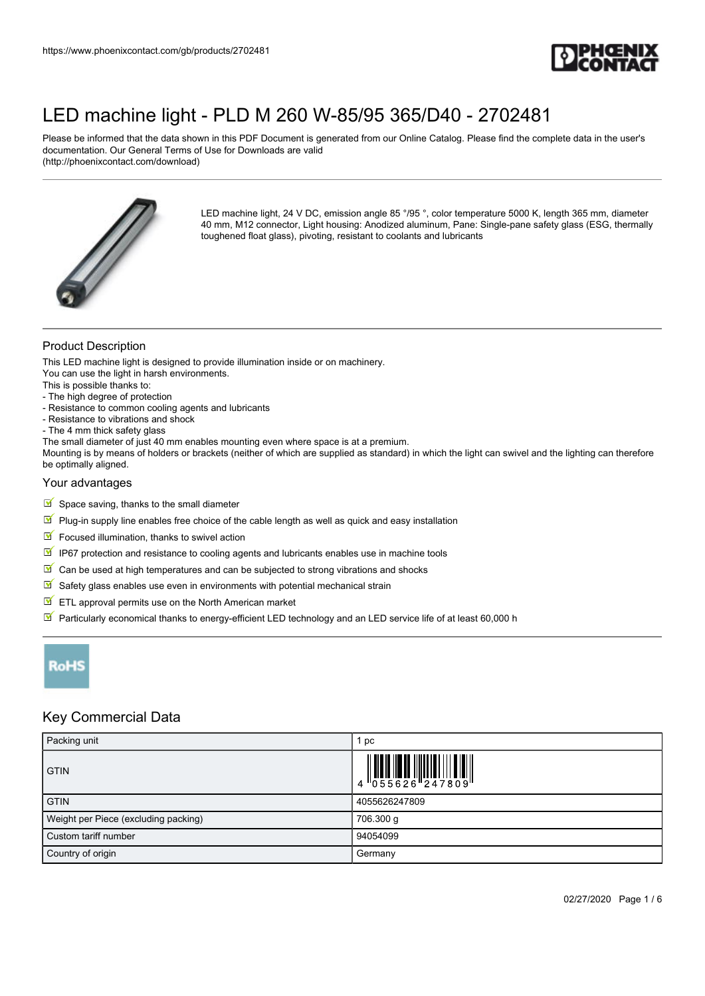

Please be informed that the data shown in this PDF Document is generated from our Online Catalog. Please find the complete data in the user's documentation. Our General Terms of Use for Downloads are valid (http://phoenixcontact.com/download)



LED machine light, 24 V DC, emission angle 85 °/95 °, color temperature 5000 K, length 365 mm, diameter 40 mm, M12 connector, Light housing: Anodized aluminum, Pane: Single-pane safety glass (ESG, thermally toughened float glass), pivoting, resistant to coolants and lubricants

### Product Description

This LED machine light is designed to provide illumination inside or on machinery.

You can use the light in harsh environments.

This is possible thanks to:

- The high degree of protection
- Resistance to common cooling agents and lubricants
- Resistance to vibrations and shock
- The 4 mm thick safety glass
- The small diameter of just 40 mm enables mounting even where space is at a premium.

Mounting is by means of holders or brackets (neither of which are supplied as standard) in which the light can swivel and the lighting can therefore be optimally aligned.

#### Your advantages

- $\blacksquare$  Space saving, thanks to the small diameter
- $\Psi$  Plug-in supply line enables free choice of the cable length as well as quick and easy installation
- $\blacksquare$  Focused illumination, thanks to swivel action
- $\boxed{\blacksquare}$  IP67 protection and resistance to cooling agents and lubricants enables use in machine tools
- $\boxed{\blacksquare}$  Can be used at high temperatures and can be subjected to strong vibrations and shocks
- $\mathbb S$  Safety glass enables use even in environments with potential mechanical strain
- $\triangleright$  ETL approval permits use on the North American market
- Particularly economical thanks to energy-efficient LED technology and an LED service life of at least 60,000 h



#### Key Commercial Data

| Packing unit                         | рc            |
|--------------------------------------|---------------|
| <b>GTIN</b>                          |               |
| <b>GTIN</b>                          | 4055626247809 |
| Weight per Piece (excluding packing) | 706.300 g     |
| Custom tariff number                 | 94054099      |
| Country of origin                    | Germany       |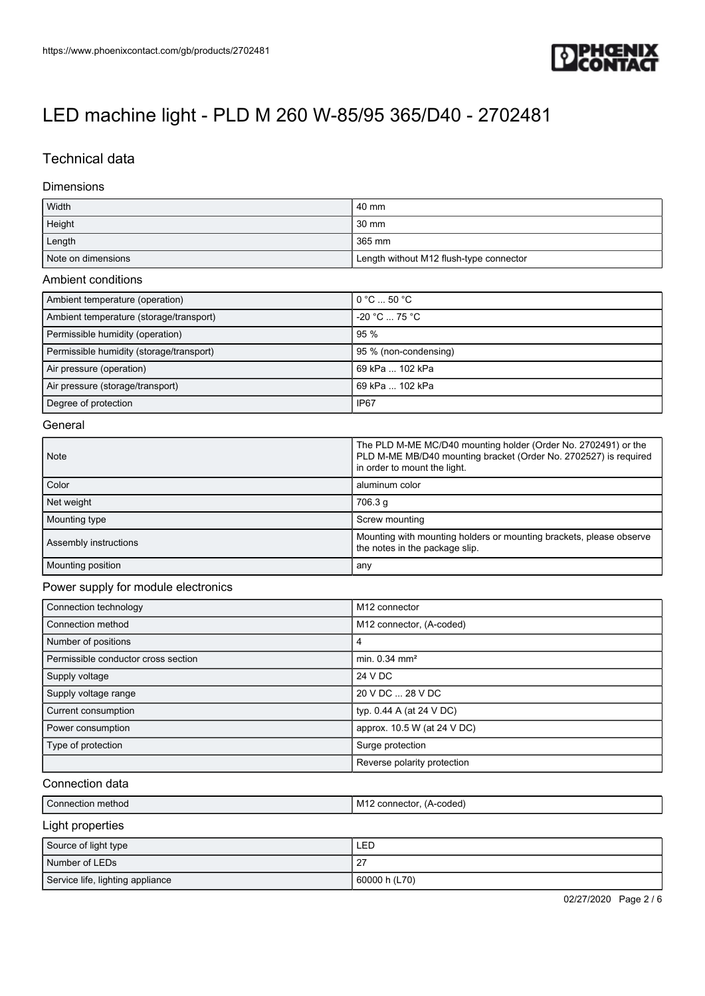

## Technical data

#### Dimensions

| Width              | l 40 mm                                 |
|--------------------|-----------------------------------------|
| Height             | 30 mm                                   |
| Length             | 365 mm                                  |
| Note on dimensions | Length without M12 flush-type connector |

#### Ambient conditions

| Ambient temperature (operation)          | $\circ$ 0 $\circ$ C $\ldots$ 50 $\circ$ C |
|------------------------------------------|-------------------------------------------|
| Ambient temperature (storage/transport)  | $-20 °C \dots 75 °C$                      |
| Permissible humidity (operation)         | 95%                                       |
| Permissible humidity (storage/transport) | 95 % (non-condensing)                     |
| Air pressure (operation)                 | 69 kPa  102 kPa                           |
| Air pressure (storage/transport)         | 69 kPa  102 kPa                           |
| Degree of protection                     | IP67                                      |

#### **General**

| <b>Note</b>           | The PLD M-ME MC/D40 mounting holder (Order No. 2702491) or the<br>PLD M-ME MB/D40 mounting bracket (Order No. 2702527) is required<br>in order to mount the light. |
|-----------------------|--------------------------------------------------------------------------------------------------------------------------------------------------------------------|
| Color                 | aluminum color                                                                                                                                                     |
| Net weight            | 706.3 g                                                                                                                                                            |
| Mounting type         | Screw mounting                                                                                                                                                     |
| Assembly instructions | Mounting with mounting holders or mounting brackets, please observe<br>the notes in the package slip.                                                              |
| Mounting position     | any                                                                                                                                                                |

#### Power supply for module electronics

| Connection technology               | M <sub>12</sub> connector   |
|-------------------------------------|-----------------------------|
| Connection method                   | M12 connector, (A-coded)    |
| Number of positions                 | 4                           |
| Permissible conductor cross section | min. $0.34$ mm <sup>2</sup> |
| Supply voltage                      | 24 V DC                     |
| Supply voltage range                | 20 V DC  28 V DC            |
| Current consumption                 | typ. $0.44$ A (at 24 V DC)  |
| Power consumption                   | approx. 10.5 W (at 24 V DC) |
| Type of protection                  | Surge protection            |
|                                     | Reverse polarity protection |

#### Connection data

| Connection method    | M12 connector, (A-coded) |
|----------------------|--------------------------|
| Light properties     |                          |
| Source of light type | LED                      |
| Number of LEDs       | 27                       |

| Service life, lighting appliance | 60000 h (L70) |                       |
|----------------------------------|---------------|-----------------------|
|                                  |               | 02/27/2020 Page 2 / 6 |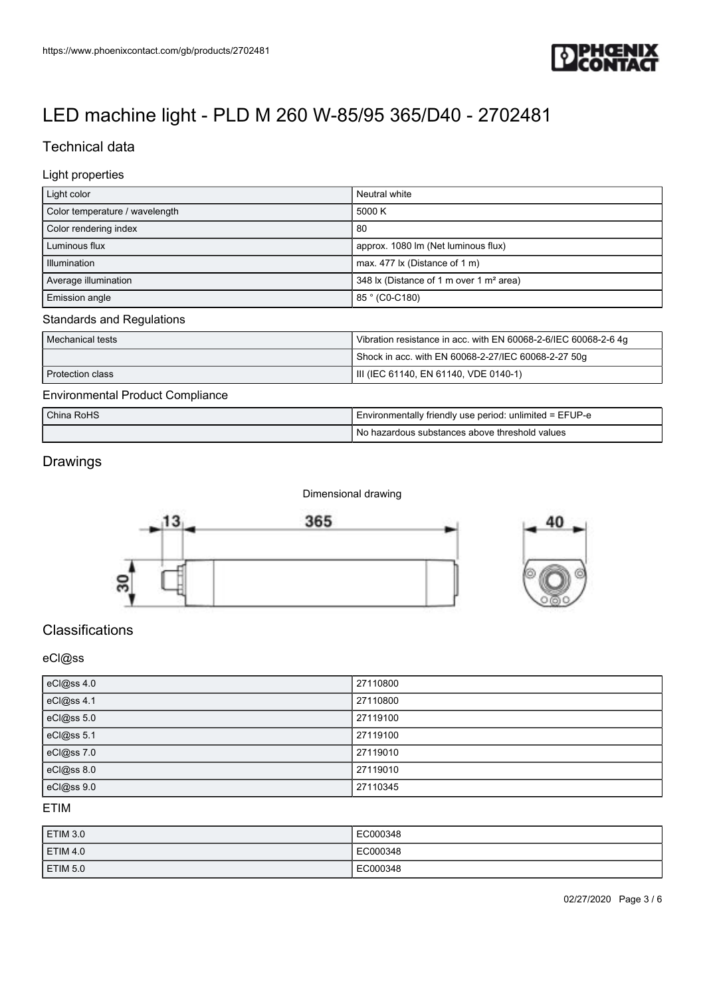

## Technical data

### Light properties

| Light color                      | Neutral white                                                   |  |
|----------------------------------|-----------------------------------------------------------------|--|
| Color temperature / wavelength   | 5000 K                                                          |  |
| Color rendering index            | -80                                                             |  |
| Luminous flux                    | approx. 1080 lm (Net luminous flux)                             |  |
| Illumination                     | max. 477 lx (Distance of 1 m)                                   |  |
| Average illumination             | 348 lx (Distance of 1 m over 1 m <sup>2</sup> area)             |  |
| Emission angle                   | 85 ° (C0-C180)                                                  |  |
| <b>Standards and Regulations</b> |                                                                 |  |
| Mechanical tests                 | Vibration resistance in acc. with EN 60068-2-6/IEC 60068-2-6 4g |  |
|                                  | Shock in acc. with EN 60068-2-27/IEC 60068-2-27 50g             |  |

## Protection class **III** (IEC 61140, EN 61140, VDE 0140-1) Environmental Product Compliance

| Environmontary roador compliance |                                                         |
|----------------------------------|---------------------------------------------------------|
| China RoHS                       | Environmentally friendly use period: unlimited = EFUP-e |
|                                  | l No hazardous substances above threshold values        |

## Drawings

Dimensional drawing





## Classifications

#### eCl@ss

| eCl@ss 4.0 | 27110800 |
|------------|----------|
| eCl@ss 4.1 | 27110800 |
| eCl@ss 5.0 | 27119100 |
| eCl@ss 5.1 | 27119100 |
| eCl@ss 7.0 | 27119010 |
| eCl@ss 8.0 | 27119010 |
| eCl@ss 9.0 | 27110345 |

### ETIM

| ETIM 3.0        | EC000348 |
|-----------------|----------|
| <b>ETIM 4.0</b> | EC000348 |
| <b>ETIM 5.0</b> | EC000348 |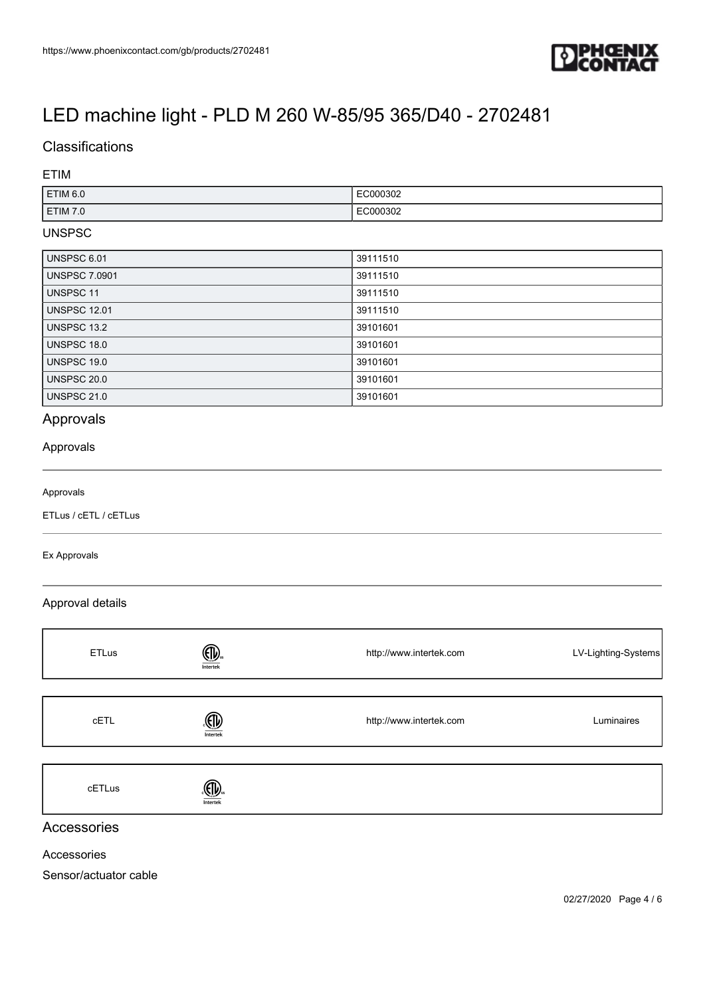

# Classifications

#### ETIM

| ETIM <sub>6.0</sub> | EC000302<br>. |
|---------------------|---------------|
| <b>ETIM 7.0</b>     | EC000302<br>. |

### UNSPSC

| UNSPSC 6.01          | 39111510 |
|----------------------|----------|
| <b>UNSPSC 7.0901</b> | 39111510 |
| UNSPSC 11            | 39111510 |
| <b>UNSPSC 12.01</b>  | 39111510 |
| <b>UNSPSC 13.2</b>   | 39101601 |
| UNSPSC 18.0          | 39101601 |
| UNSPSC 19.0          | 39101601 |
| <b>UNSPSC 20.0</b>   | 39101601 |
| <b>UNSPSC 21.0</b>   | 39101601 |

## Approvals

### Approvals

#### Approvals

ETLus / cETL / cETLus

#### Ex Approvals

#### Approval details

| <b>ETLus</b> | ⅏<br>Intertek | http://www.intertek.com | LV-Lighting-Systems |
|--------------|---------------|-------------------------|---------------------|
|              |               |                         |                     |
| cETL         | ௵<br>Intertek | http://www.intertek.com | Luminaires          |
|              |               |                         |                     |
| cETLus       | Intertek      |                         |                     |
| Accessories  |               |                         |                     |

Accessories

Sensor/actuator cable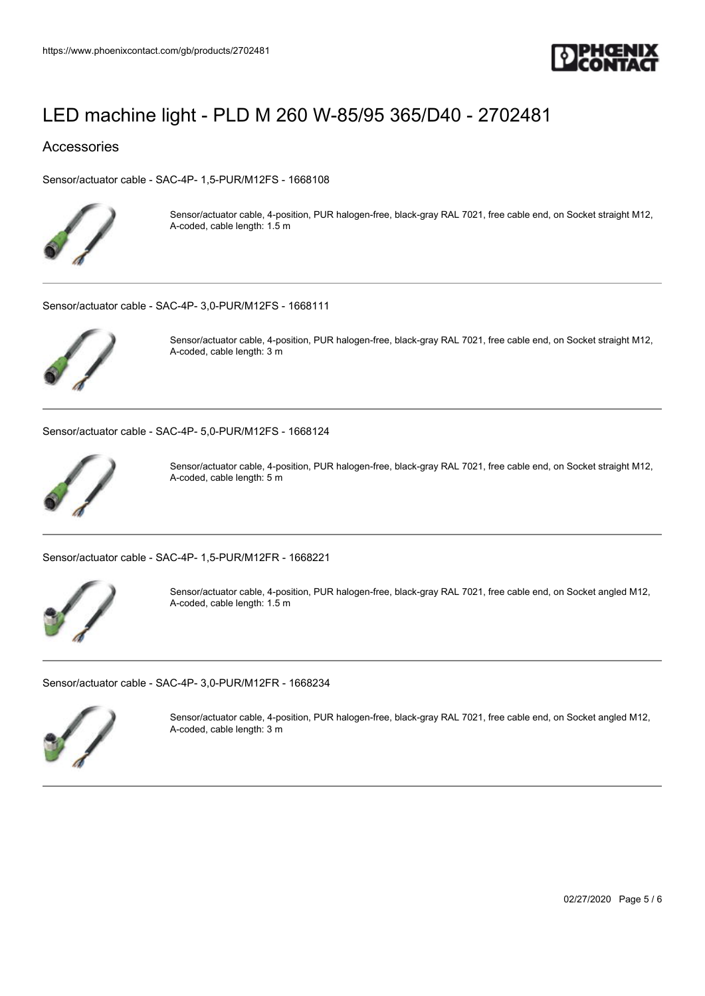

#### Accessories

[Sensor/actuator cable - SAC-4P- 1,5-PUR/M12FS - 1668108](https://www.phoenixcontact.com/gb/products/1668108)



Sensor/actuator cable, 4-position, PUR halogen-free, black-gray RAL 7021, free cable end, on Socket straight M12, A-coded, cable length: 1.5 m

[Sensor/actuator cable - SAC-4P- 3,0-PUR/M12FS - 1668111](https://www.phoenixcontact.com/gb/products/1668111)



Sensor/actuator cable, 4-position, PUR halogen-free, black-gray RAL 7021, free cable end, on Socket straight M12, A-coded, cable length: 3 m

[Sensor/actuator cable - SAC-4P- 5,0-PUR/M12FS - 1668124](https://www.phoenixcontact.com/gb/products/1668124)



Sensor/actuator cable, 4-position, PUR halogen-free, black-gray RAL 7021, free cable end, on Socket straight M12, A-coded, cable length: 5 m

[Sensor/actuator cable - SAC-4P- 1,5-PUR/M12FR - 1668221](https://www.phoenixcontact.com/gb/products/1668221)



Sensor/actuator cable, 4-position, PUR halogen-free, black-gray RAL 7021, free cable end, on Socket angled M12, A-coded, cable length: 1.5 m

[Sensor/actuator cable - SAC-4P- 3,0-PUR/M12FR - 1668234](https://www.phoenixcontact.com/gb/products/1668234)



Sensor/actuator cable, 4-position, PUR halogen-free, black-gray RAL 7021, free cable end, on Socket angled M12, A-coded, cable length: 3 m